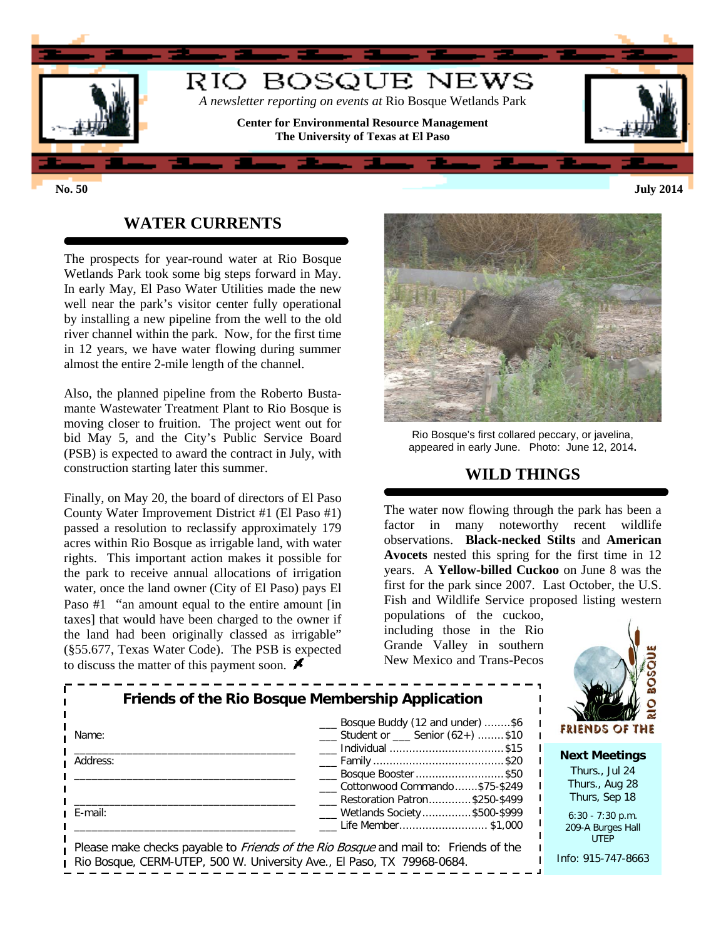

# **WATER CURRENTS**

The prospects for year-round water at Rio Bosque Wetlands Park took some big steps forward in May. In early May, El Paso Water Utilities made the new well near the park's visitor center fully operational by installing a new pipeline from the well to the old river channel within the park. Now, for the first time in 12 years, we have water flowing during summer almost the entire 2-mile length of the channel.

Also, the planned pipeline from the Roberto Bustamante Wastewater Treatment Plant to Rio Bosque is moving closer to fruition. The project went out for bid May 5, and the City's Public Service Board (PSB) is expected to award the contract in July, with construction starting later this summer.

Finally, on May 20, the board of directors of El Paso County Water Improvement District #1 (El Paso #1) passed a resolution to reclassify approximately 179 acres within Rio Bosque as irrigable land, with water rights. This important action makes it possible for the park to receive annual allocations of irrigation water, once the land owner (City of El Paso) pays El Paso #1 "an amount equal to the entire amount [in taxes] that would have been charged to the owner if the land had been originally classed as irrigable" (§55.677, Texas Water Code). The PSB is expected to discuss the matter of this payment soon.  $\blacktriangleright$ 



Rio Bosque's first collared peccary, or javelina, appeared in early June. Photo: June 12, 2014**.**

## **WILD THINGS**

The water now flowing through the park has been a factor in many noteworthy recent wildlife observations. **Black-necked Stilts** and **American Avocets** nested this spring for the first time in 12 years. A **Yellow-billed Cuckoo** on June 8 was the first for the park since 2007. Last October, the U.S. Fish and Wildlife Service proposed listing western

populations of the cuckoo, including those in the Rio Grande Valley in southern New Mexico and Trans-Pecos



| Friends of the Rio Bosque Membership Application |                                                                                            |  |  |  |
|--------------------------------------------------|--------------------------------------------------------------------------------------------|--|--|--|
| Name:                                            | Bosque Buddy (12 and under) \$6<br>Student or Senior (62+) \$10<br>Individual \$15         |  |  |  |
| Address:                                         | Bosque Booster \$50<br>Cottonwood Commando\$75-\$249                                       |  |  |  |
| E-mail:                                          | Restoration Patron\$250-\$499<br>___ Wetlands Society\$500-\$999<br>Life Member\$1,000     |  |  |  |
|                                                  | Please make checks payable to <i>Friends of the Rio Bosque</i> and mail to: Friends of the |  |  |  |

| <b>Please make checks payable to Friends of the Rio Bosque and mail to: Friends of the</b> |  |
|--------------------------------------------------------------------------------------------|--|
| Rio Bosque, CERM-UTEP, 500 W. University Ave., El Paso, TX 79968-0684.                     |  |
|                                                                                            |  |

6:30 - 7:30 p.m. 209-A Burges Hall UTEP

Info: 915-747-8663